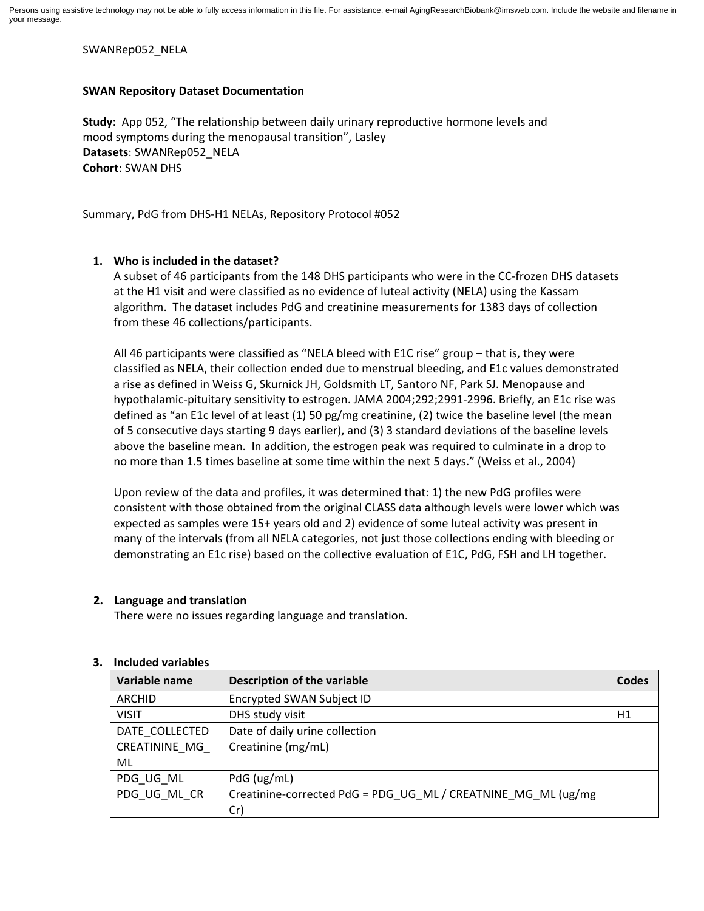#### SWANRep052\_NELA

#### **SWAN Repository Dataset Documentation**

**Study:** App 052, "The relationship between daily urinary reproductive hormone levels and mood symptoms during the menopausal transition", Lasley **Datasets**: SWANRep052\_NELA **Cohort**: SWAN DHS

Summary, PdG from DHS-H1 NELAs, Repository Protocol #052

# **1. Who is included in the dataset?**

A subset of 46 participants from the 148 DHS participants who were in the CC-frozen DHS datasets at the H1 visit and were classified as no evidence of luteal activity (NELA) using the Kassam algorithm. The dataset includes PdG and creatinine measurements for 1383 days of collection from these 46 collections/participants.

All 46 participants were classified as "NELA bleed with E1C rise" group – that is, they were classified as NELA, their collection ended due to menstrual bleeding, and E1c values demonstrated a rise as defined in Weiss G, Skurnick JH, Goldsmith LT, Santoro NF, Park SJ. Menopause and hypothalamic-pituitary sensitivity to estrogen. JAMA 2004;292;2991-2996. Briefly, an E1c rise was defined as "an E1c level of at least (1) 50 pg/mg creatinine, (2) twice the baseline level (the mean of 5 consecutive days starting 9 days earlier), and (3) 3 standard deviations of the baseline levels above the baseline mean. In addition, the estrogen peak was required to culminate in a drop to no more than 1.5 times baseline at some time within the next 5 days." (Weiss et al., 2004)

Upon review of the data and profiles, it was determined that: 1) the new PdG profiles were consistent with those obtained from the original CLASS data although levels were lower which was expected as samples were 15+ years old and 2) evidence of some luteal activity was present in many of the intervals (from all NELA categories, not just those collections ending with bleeding or demonstrating an E1c rise) based on the collective evaluation of E1C, PdG, FSH and LH together.

# **2. Language and translation**

There were no issues regarding language and translation.

| Variable name  | <b>Description of the variable</b>                            | <b>Codes</b> |
|----------------|---------------------------------------------------------------|--------------|
| <b>ARCHID</b>  | <b>Encrypted SWAN Subject ID</b>                              |              |
| <b>VISIT</b>   | DHS study visit                                               | H1           |
| DATE COLLECTED | Date of daily urine collection                                |              |
| CREATININE MG  | Creatinine (mg/mL)                                            |              |
| ML             |                                                               |              |
| PDG UG ML      | PdG (ug/mL)                                                   |              |
| PDG UG ML CR   | Creatinine-corrected PdG = PDG UG ML / CREATNINE MG ML (ug/mg |              |
|                | Cr)                                                           |              |

# **3. Included variables**